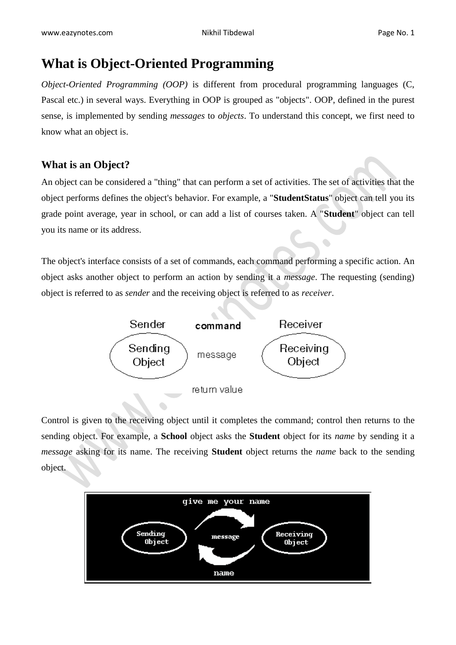## **What is Object-Oriented Programming**

*Object-Oriented Programming (OOP)* is different from procedural programming languages (C, Pascal etc.) in several ways. Everything in OOP is grouped as "objects". OOP, defined in the purest sense, is implemented by sending *messages* to *objects*. To understand this concept, we first need to know what an object is.

## **What is an Object?**

An object can be considered a "thing" that can perform a set of activities. The set of activities that the object performs defines the object's behavior. For example, a "**StudentStatus**" object can tell you its grade point average, year in school, or can add a list of courses taken. A "**Student**" object can tell you its name or its address.

 $\bullet$ 

The object's interface consists of a set of commands, each command performing a specific action. An object asks another object to perform an action by sending it a *message*. The requesting (sending) object is referred to as *sender* and the receiving object is referred to as *receiver*.



Control is given to the receiving object until it completes the command; control then returns to the sending object. For example, a **School** object asks the **Student** object for its *name* by sending it a *message* asking for its name. The receiving **Student** object returns the *name* back to the sending object.

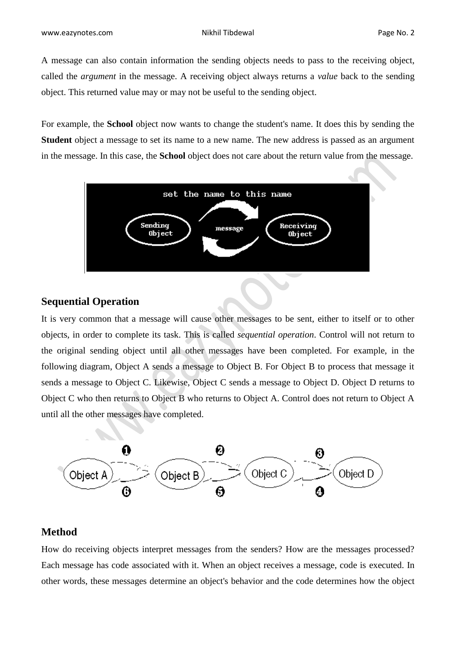A message can also contain information the sending objects needs to pass to the receiving object, called the *argument* in the message. A receiving object always returns a *value* back to the sending object. This returned value may or may not be useful to the sending object.

For example, the **School** object now wants to change the student's name. It does this by sending the **Student** object a message to set its name to a new name. The new address is passed as an argument in the message. In this case, the **School** object does not care about the return value from the message.



## **Sequential Operation**

It is very common that a message will cause other messages to be sent, either to itself or to other objects, in order to complete its task. This is called *sequential operation*. Control will not return to the original sending object until all other messages have been completed. For example, in the following diagram, Object A sends a message to Object B. For Object B to process that message it sends a message to Object C. Likewise, Object C sends a message to Object D. Object D returns to Object C who then returns to Object B who returns to Object A. Control does not return to Object A until all the other messages have completed.



### **Method**

How do receiving objects interpret messages from the senders? How are the messages processed? Each message has code associated with it. When an object receives a message, code is executed. In other words, these messages determine an object's behavior and the code determines how the object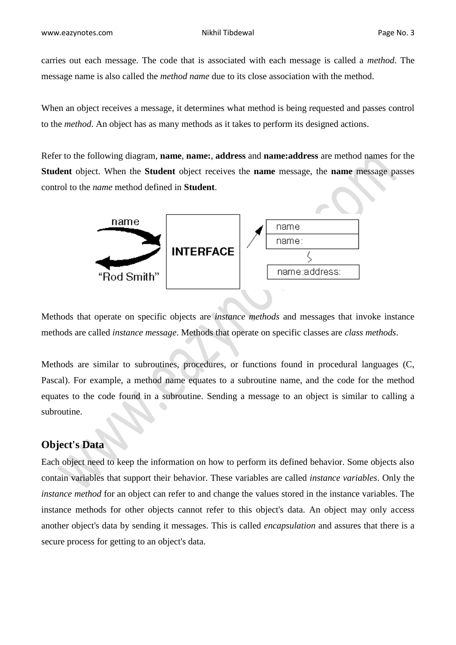carries out each message. The code that is associated with each message is called a *method*. The message name is also called the *method name* due to its close association with the method.

When an object receives a message, it determines what method is being requested and passes control to the *method*. An object has as many methods as it takes to perform its designed actions.

Refer to the following diagram, **name**, **name:**, **address** and **name:address** are method names for the **Student** object. When the **Student** object receives the **name** message, the **name** message passes control to the *name* method defined in **Student**.



Methods that operate on specific objects are *instance methods* and messages that invoke instance methods are called *instance message*. Methods that operate on specific classes are *class methods*.

Methods are similar to subroutines, procedures, or functions found in procedural languages (C, Pascal). For example, a method name equates to a subroutine name, and the code for the method equates to the code found in a subroutine. Sending a message to an object is similar to calling a subroutine.

## **Object's Data**

Each object need to keep the information on how to perform its defined behavior. Some objects also contain variables that support their behavior. These variables are called *instance variables*. Only the *instance method* for an object can refer to and change the values stored in the instance variables. The instance methods for other objects cannot refer to this object's data. An object may only access another object's data by sending it messages. This is called *encapsulation* and assures that there is a secure process for getting to an object's data.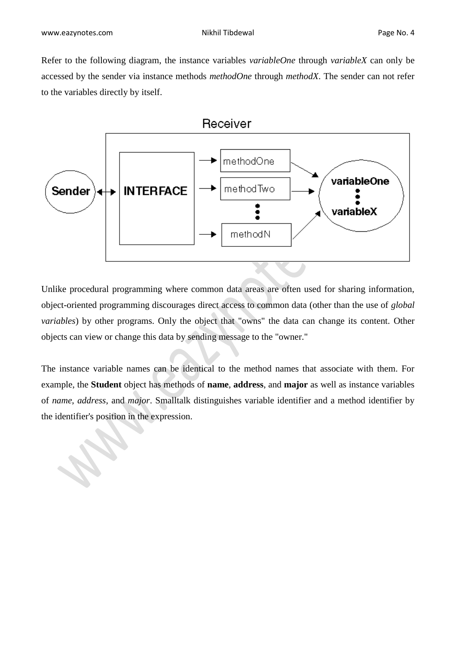Refer to the following diagram, the instance variables *variableOne* through *variableX* can only be accessed by the sender via instance methods *methodOne* through *methodX*. The sender can not refer to the variables directly by itself.



Unlike procedural programming where common data areas are often used for sharing information, object-oriented programming discourages direct access to common data (other than the use of *global variables*) by other programs. Only the object that "owns" the data can change its content. Other objects can view or change this data by sending message to the "owner."

The instance variable names can be identical to the method names that associate with them. For example, the **Student** object has methods of **name**, **address**, and **major** as well as instance variables of *name*, *address*, and *major*. Smalltalk distinguishes variable identifier and a method identifier by the identifier's position in the expression.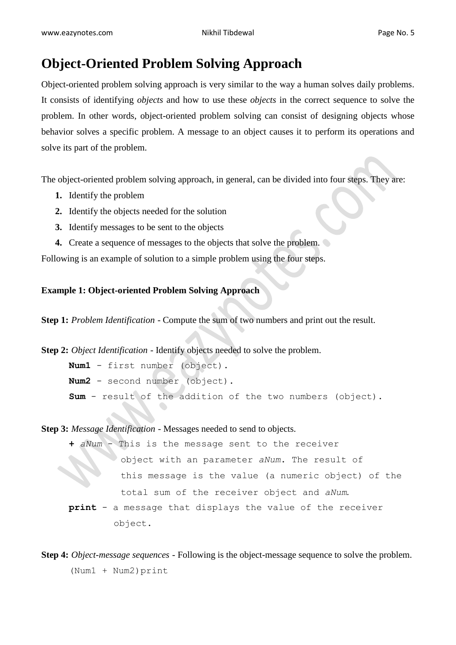## **Object-Oriented Problem Solving Approach**

Object-oriented problem solving approach is very similar to the way a human solves daily problems. It consists of identifying *objects* and how to use these *objects* in the correct sequence to solve the problem. In other words, object-oriented problem solving can consist of designing objects whose behavior solves a specific problem. A message to an object causes it to perform its operations and solve its part of the problem.

The object-oriented problem solving approach, in general, can be divided into four steps. They are:

- **1.** Identify the problem
- **2.** Identify the objects needed for the solution
- **3.** Identify messages to be sent to the objects
- **4.** Create a sequence of messages to the objects that solve the problem.

Following is an example of solution to a simple problem using the four steps.

### **Example 1: Object-oriented Problem Solving Approach**

**Step 1:** *Problem Identification* - Compute the sum of two numbers and print out the result.

**Step 2:** *Object Identification* - Identify objects needed to solve the problem. **Num1** - first number (object). **Num2** - second number (object).

**Sum** - result of the addition of the two numbers (object).

**Step 3:** *Message Identification* - Messages needed to send to objects.

- aNum This is the message sent to the receiver object with an parameter *aNum*. The result of this message is the value (a numeric object) of the total sum of the receiver object and *aNum*. **print** - a message that displays the value of the receiver object.
- **Step 4:** *Object-message sequences* Following is the object-message sequence to solve the problem. (Num1 + Num2)print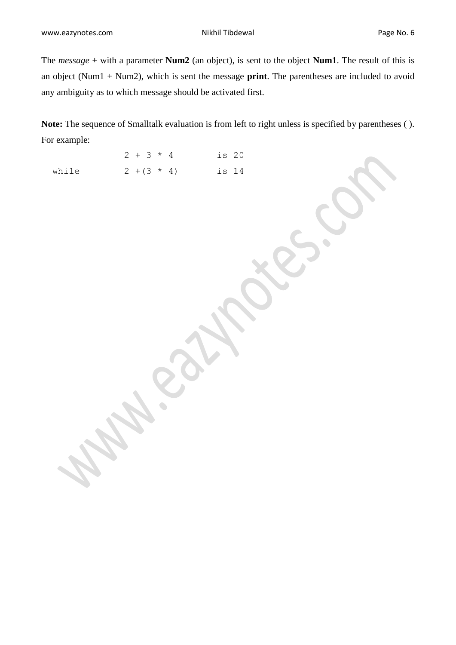The *message* **+** with a parameter **Num2** (an object), is sent to the object **Num1**. The result of this is an object (Num1 + Num2), which is sent the message **print**. The parentheses are included to avoid any ambiguity as to which message should be activated first.

**Note:** The sequence of Smalltalk evaluation is from left to right unless is specified by parentheses ( ). For example:

|       | $2 + 3 * 4$ |  |               | is 20 |  |
|-------|-------------|--|---------------|-------|--|
| while |             |  | $2 + (3 * 4)$ | is 14 |  |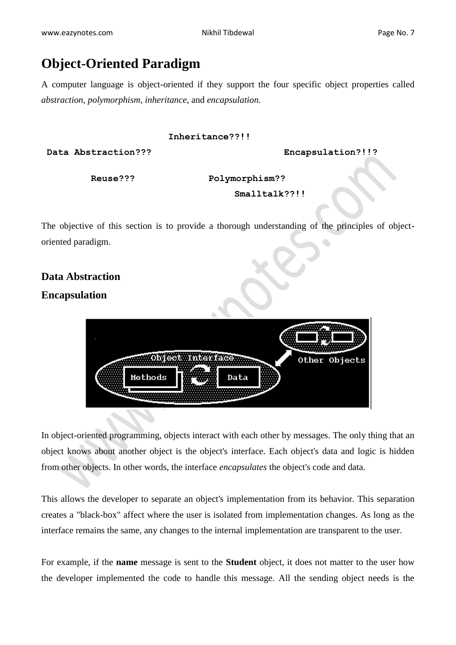## **Object-Oriented Paradigm**

A computer language is object-oriented if they support the four specific object properties called *abstraction*, *polymorphism*, *inheritance*, and *encapsulation*.

#### **Inheritance??!!**

**Data Abstraction??? Encapsulation?!!?**

**Reuse??? Polymorphism??**

#### **Smalltalk??!!**

The objective of this section is to provide a thorough understanding of the principles of objectoriented paradigm.

## **Data Abstraction Encapsulation**



In object-oriented programming, objects interact with each other by messages. The only thing that an object knows about another object is the object's interface. Each object's data and logic is hidden from other objects. In other words, the interface *encapsulates* the object's code and data.

This allows the developer to separate an object's implementation from its behavior. This separation creates a "black-box" affect where the user is isolated from implementation changes. As long as the interface remains the same, any changes to the internal implementation are transparent to the user.

For example, if the **name** message is sent to the **Student** object, it does not matter to the user how the developer implemented the code to handle this message. All the sending object needs is the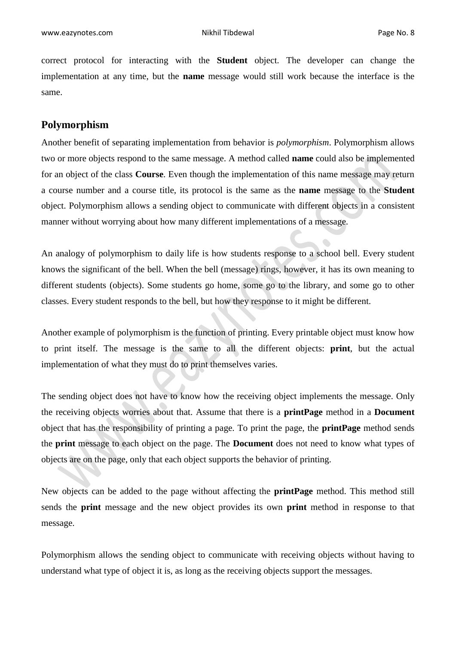correct protocol for interacting with the **Student** object. The developer can change the implementation at any time, but the **name** message would still work because the interface is the same.

#### **Polymorphism**

Another benefit of separating implementation from behavior is *polymorphism*. Polymorphism allows two or more objects respond to the same message. A method called **name** could also be implemented for an object of the class **Course**. Even though the implementation of this name message may return a course number and a course title, its protocol is the same as the **name** message to the **Student** object. Polymorphism allows a sending object to communicate with different objects in a consistent manner without worrying about how many different implementations of a message.

An analogy of polymorphism to daily life is how students response to a school bell. Every student knows the significant of the bell. When the bell (message) rings, however, it has its own meaning to different students (objects). Some students go home, some go to the library, and some go to other classes. Every student responds to the bell, but how they response to it might be different.

Another example of polymorphism is the function of printing. Every printable object must know how to print itself. The message is the same to all the different objects: **print**, but the actual implementation of what they must do to print themselves varies.

The sending object does not have to know how the receiving object implements the message. Only the receiving objects worries about that. Assume that there is a **printPage** method in a **Document** object that has the responsibility of printing a page. To print the page, the **printPage** method sends the **print** message to each object on the page. The **Document** does not need to know what types of objects are on the page, only that each object supports the behavior of printing.

New objects can be added to the page without affecting the **printPage** method. This method still sends the **print** message and the new object provides its own **print** method in response to that message.

Polymorphism allows the sending object to communicate with receiving objects without having to understand what type of object it is, as long as the receiving objects support the messages.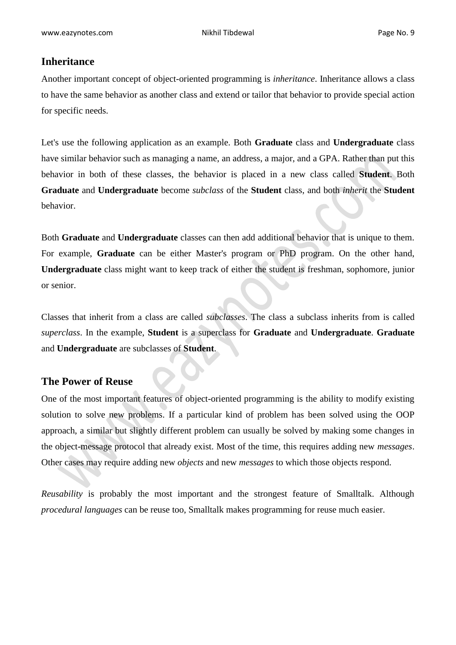### **Inheritance**

Another important concept of object-oriented programming is *inheritance*. Inheritance allows a class to have the same behavior as another class and extend or tailor that behavior to provide special action for specific needs.

Let's use the following application as an example. Both **Graduate** class and **Undergraduate** class have similar behavior such as managing a name, an address, a major, and a GPA. Rather than put this behavior in both of these classes, the behavior is placed in a new class called **Student**. Both **Graduate** and **Undergraduate** become *subclass* of the **Student** class, and both *inherit* the **Student** behavior.

Both **Graduate** and **Undergraduate** classes can then add additional behavior that is unique to them. For example, **Graduate** can be either Master's program or PhD program. On the other hand, **Undergraduate** class might want to keep track of either the student is freshman, sophomore, junior or senior.

Classes that inherit from a class are called *subclasses*. The class a subclass inherits from is called *superclass*. In the example, **Student** is a superclass for **Graduate** and **Undergraduate**. **Graduate** and **Undergraduate** are subclasses of **Student**.

### **The Power of Reuse**

One of the most important features of object-oriented programming is the ability to modify existing solution to solve new problems. If a particular kind of problem has been solved using the OOP approach, a similar but slightly different problem can usually be solved by making some changes in the object-message protocol that already exist. Most of the time, this requires adding new *messages*. Other cases may require adding new *objects* and new *messages* to which those objects respond.

*Reusability* is probably the most important and the strongest feature of Smalltalk. Although *procedural languages* can be reuse too, Smalltalk makes programming for reuse much easier.